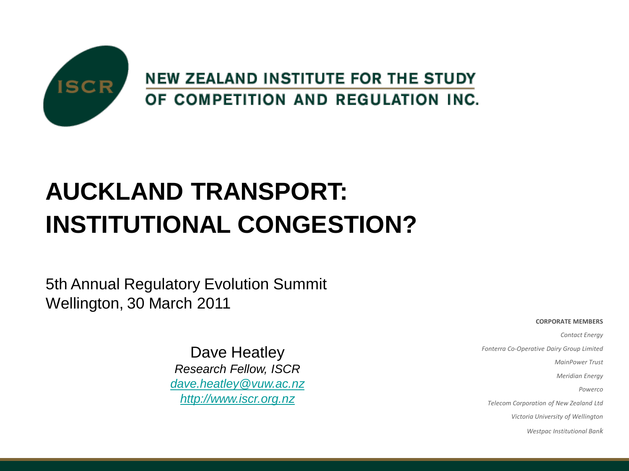

# **AUCKLAND TRANSPORT: INSTITUTIONAL CONGESTION?**

5th Annual Regulatory Evolution Summit Wellington, 30 March 2011

> Dave Heatley *Research Fellow, ISCR [dave.heatley@vuw.ac.nz](mailto:dave.heatley@vuw.ac.nz) [http://www.iscr.org.nz](http://www.iscr.org.nz/)*

#### **CORPORATE MEMBERS**

*Contact Energy Fonterra Co-Operative Dairy Group Limited MainPower Trust Meridian Energy Powerco Telecom Corporation of New Zealand Ltd Victoria University of Wellington*

*Westpac Institutional Bank*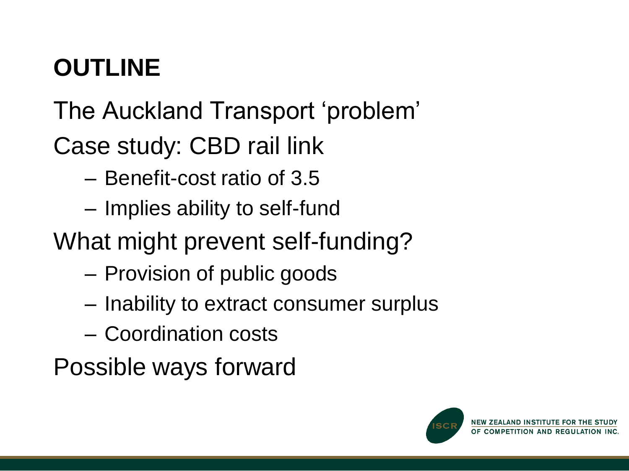# **OUTLINE**

The Auckland Transport 'problem'

Case study: CBD rail link

- Benefit-cost ratio of 3.5
- Implies ability to self-fund
- What might prevent self-funding?
	- Provision of public goods
	- Inability to extract consumer surplus
	- Coordination costs

Possible ways forward

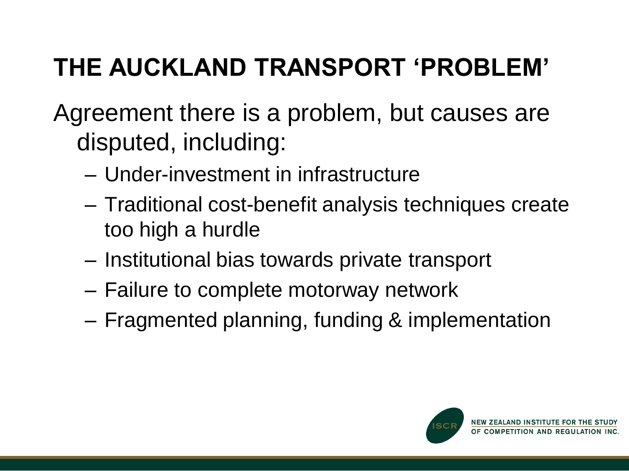# **THE AUCKLAND TRANSPORT 'PROBLEM'**

Agreement there is a problem, but causes are disputed, including:

- Under-investment in infrastructure
- Traditional cost-benefit analysis techniques create too high a hurdle
- Institutional bias towards private transport
- Failure to complete motorway network
- Fragmented planning, funding & implementation

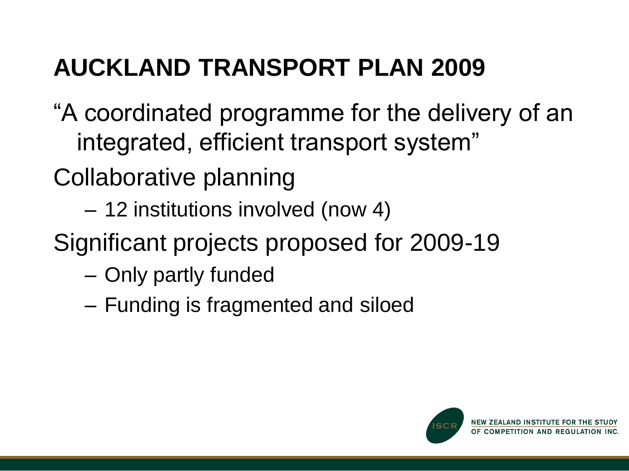# **AUCKLAND TRANSPORT PLAN 2009**

- "A coordinated programme for the delivery of an integrated, efficient transport system"
- Collaborative planning
	- 12 institutions involved (now 4)
- Significant projects proposed for 2009-19
	- Only partly funded
	- Funding is fragmented and siloed

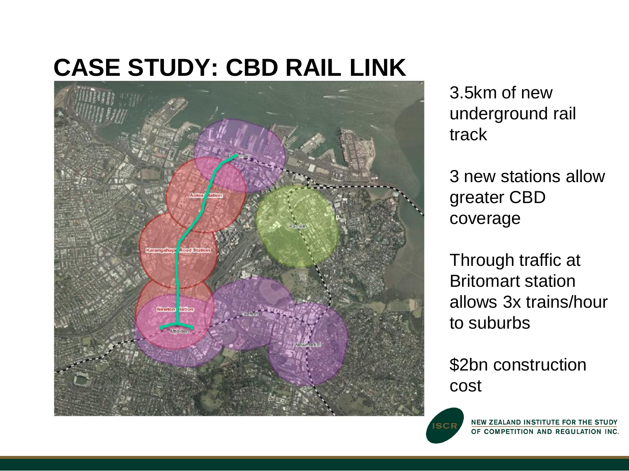#### **CASE STUDY: CBD RAIL LINK**



3.5km of new underground rail track

3 new stations allow greater CBD coverage

Through traffic at Britomart station allows 3x trains/hour to suburbs

\$2bn construction cost



NEW ZEALAND INSTITUTE FOR THE STUDY OF COMPETITION AND REGULATION INC.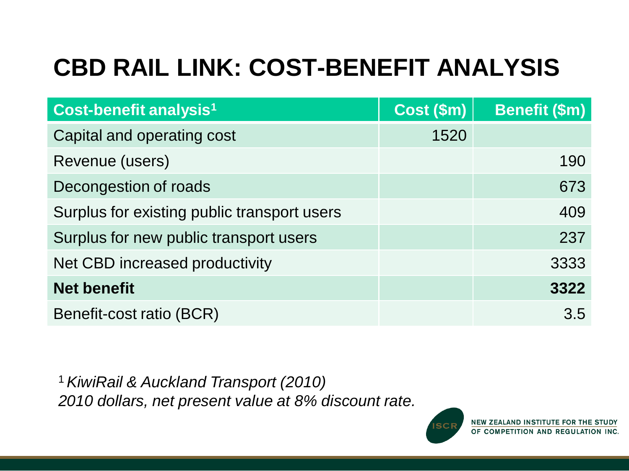# **CBD RAIL LINK: COST-BENEFIT ANALYSIS**

| Cost-benefit analysis <sup>1</sup>          | Cost (\$m) | <b>Benefit (\$m)</b> |
|---------------------------------------------|------------|----------------------|
| Capital and operating cost                  | 1520       |                      |
| Revenue (users)                             |            | 190                  |
| Decongestion of roads                       |            | 673                  |
| Surplus for existing public transport users |            | 409                  |
| Surplus for new public transport users      |            | 237                  |
| Net CBD increased productivity              |            | 3333                 |
| <b>Net benefit</b>                          |            | 3322                 |
| Benefit-cost ratio (BCR)                    |            | 3.5                  |

<sup>1</sup>*KiwiRail & Auckland Transport (2010) 2010 dollars, net present value at 8% discount rate.*

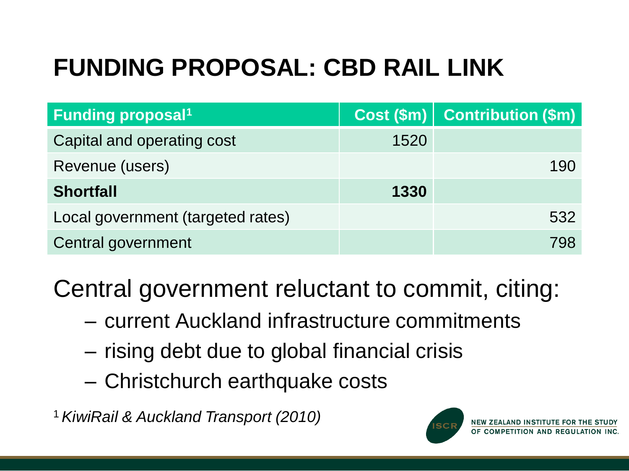# **FUNDING PROPOSAL: CBD RAIL LINK**

| <b>Funding proposal<sup>1</sup></b> |      | Cost (\$m)   Contribution (\$m) |
|-------------------------------------|------|---------------------------------|
| Capital and operating cost          | 1520 |                                 |
| Revenue (users)                     |      | 190                             |
| <b>Shortfall</b>                    | 1330 |                                 |
| Local government (targeted rates)   |      | 532                             |
| Central government                  |      | 798                             |

Central government reluctant to commit, citing:

- current Auckland infrastructure commitments
- rising debt due to global financial crisis
- Christchurch earthquake costs

1 *KiwiRail & Auckland Transport (2010)* 

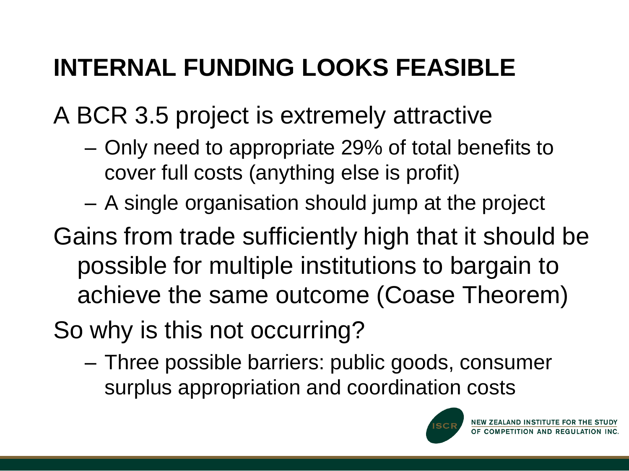# **INTERNAL FUNDING LOOKS FEASIBLE**

A BCR 3.5 project is extremely attractive

- Only need to appropriate 29% of total benefits to cover full costs (anything else is profit)
- A single organisation should jump at the project
- Gains from trade sufficiently high that it should be possible for multiple institutions to bargain to achieve the same outcome (Coase Theorem)
- So why is this not occurring?
	- Three possible barriers: public goods, consumer surplus appropriation and coordination costs

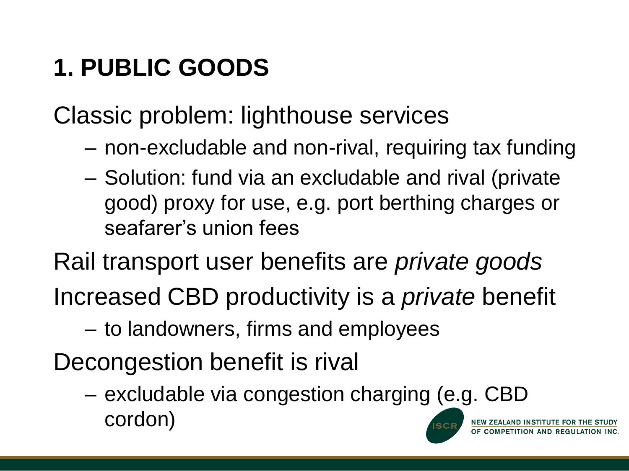# **1. PUBLIC GOODS**

Classic problem: lighthouse services

- non-excludable and non-rival, requiring tax funding
- Solution: fund via an excludable and rival (private good) proxy for use, e.g. port berthing charges or seafarer's union fees
- Rail transport user benefits are *private goods* Increased CBD productivity is a *private* benefit
	- to landowners, firms and employees
- Decongestion benefit is rival
	- excludable via congestion charging (e.g. CBD cordon)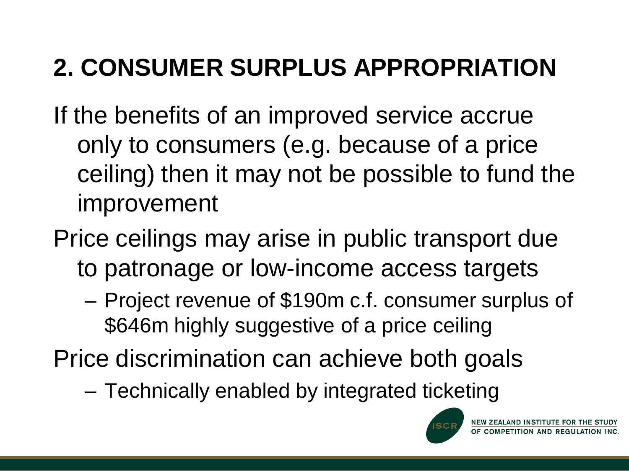# **2. CONSUMER SURPLUS APPROPRIATION**

- If the benefits of an improved service accrue only to consumers (e.g. because of a price ceiling) then it may not be possible to fund the improvement
- Price ceilings may arise in public transport due to patronage or low-income access targets
	- Project revenue of \$190m c.f. consumer surplus of \$646m highly suggestive of a price ceiling
- Price discrimination can achieve both goals
	- Technically enabled by integrated ticketing

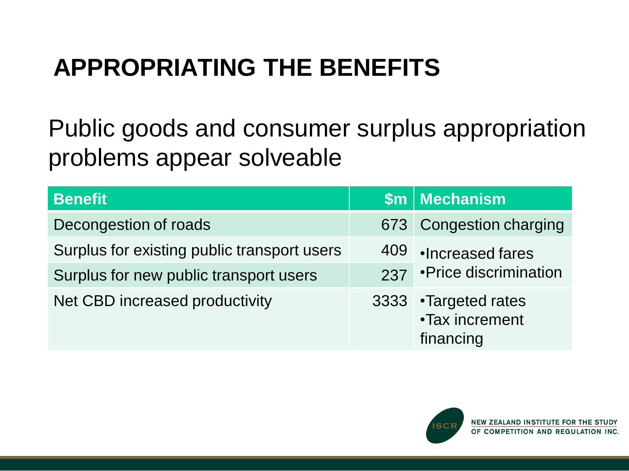## **APPROPRIATING THE BENEFITS**

Public goods and consumer surplus appropriation problems appear solveable

| <b>Benefit</b>                              |     | $$m $ Mechanism                                      |  |
|---------------------------------------------|-----|------------------------------------------------------|--|
| Decongestion of roads                       |     | 673 Congestion charging                              |  |
| Surplus for existing public transport users | 409 | Increased fares                                      |  |
| Surplus for new public transport users      |     | 237 • Price discrimination                           |  |
| Net CBD increased productivity              |     | 3333 • Targeted rates<br>•Tax increment<br>financing |  |

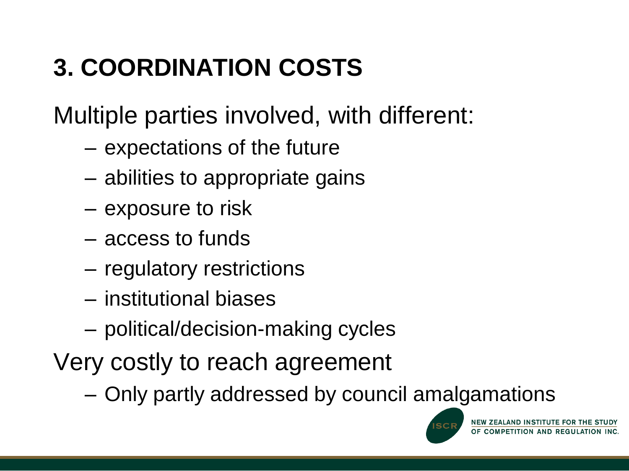# **3. COORDINATION COSTS**

Multiple parties involved, with different:

- expectations of the future
- abilities to appropriate gains
- exposure to risk
- access to funds
- regulatory restrictions
- institutional biases
- political/decision-making cycles
- Very costly to reach agreement
	- Only partly addressed by council amalgamations



NEW ZEALAND INSTITUTE FOR THE STUDY OF COMPETITION AND REGULATION INC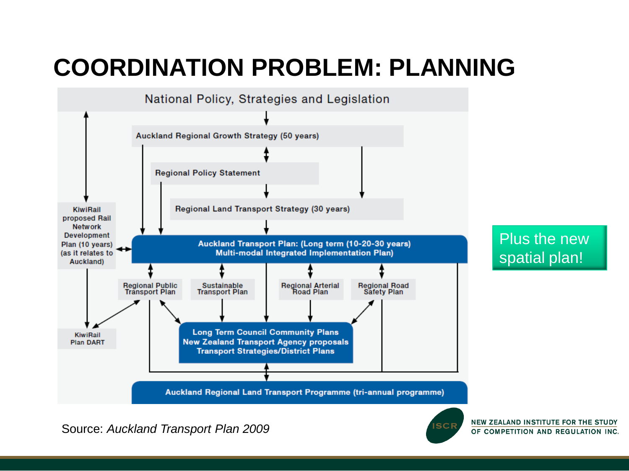#### **COORDINATION PROBLEM: PLANNING**



Source: *Auckland Transport Plan 2009*



NEW ZEALAND INSTITUTE FOR THE STUDY OF COMPETITION AND REGULATION INC.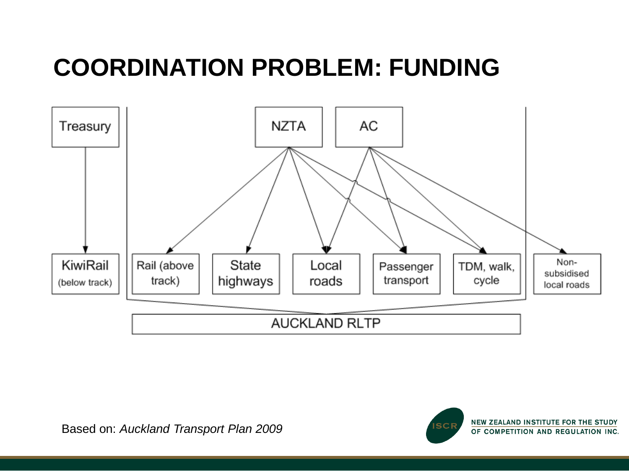#### **COORDINATION PROBLEM: FUNDING**



![](_page_13_Picture_3.jpeg)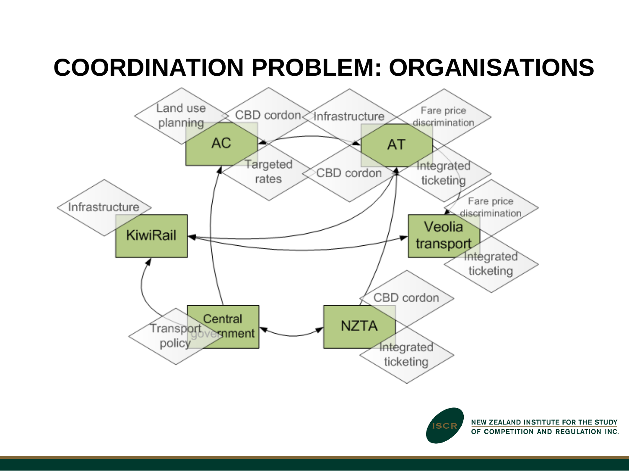#### **COORDINATION PROBLEM: ORGANISATIONS**

![](_page_14_Figure_1.jpeg)

NEW ZEALAND INSTITUTE FOR THE STUDY OF COMPETITION AND REGULATION INC.

**SCF**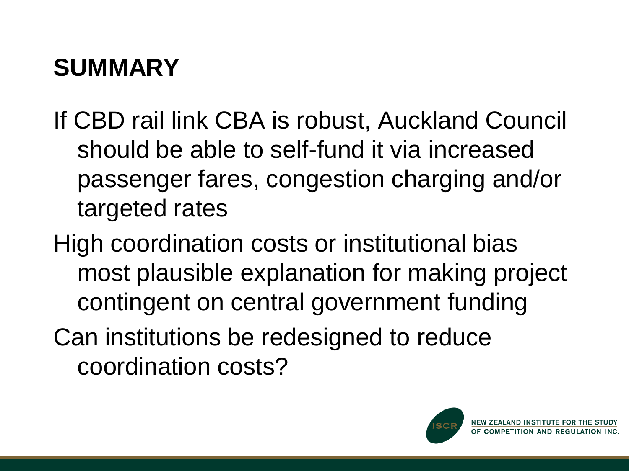## **SUMMARY**

- If CBD rail link CBA is robust, Auckland Council should be able to self-fund it via increased passenger fares, congestion charging and/or targeted rates
- High coordination costs or institutional bias most plausible explanation for making project contingent on central government funding Can institutions be redesigned to reduce coordination costs?

![](_page_15_Picture_3.jpeg)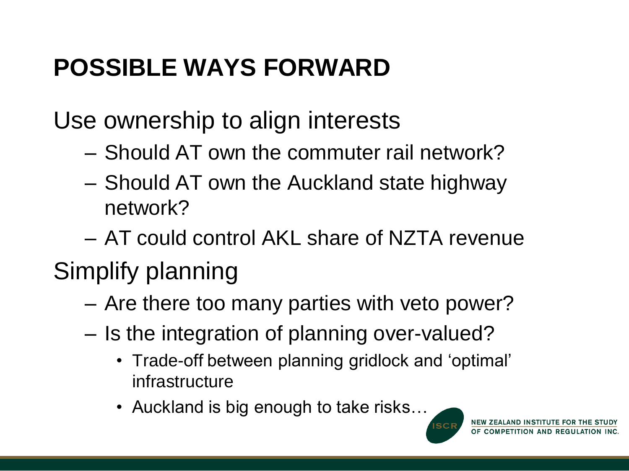## **POSSIBLE WAYS FORWARD**

Use ownership to align interests

- Should AT own the commuter rail network?
- Should AT own the Auckland state highway network?

– AT could control AKL share of NZTA revenue

#### Simplify planning

- Are there too many parties with veto power?
- Is the integration of planning over-valued?
	- Trade-off between planning gridlock and "optimal" infrastructure
	- Auckland is big enough to take risks…

![](_page_16_Picture_10.jpeg)